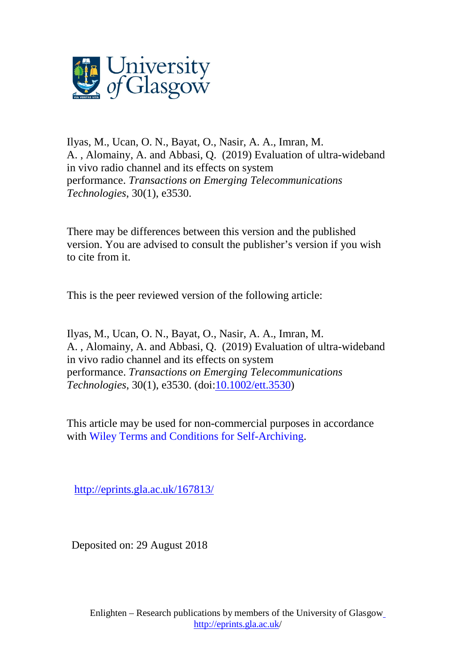

Ilyas, M., Ucan, O. N., Bayat, O., Nasir, A. A., Imran, M. A. , Alomainy, A. and Abbasi, Q. (2019) Evaluation of ultra-wideband in vivo radio channel and its effects on system performance. *Transactions on Emerging Telecommunications Technologies*, 30(1), e3530.

There may be differences between this version and the published version. You are advised to consult the publisher's version if you wish to cite from it.

This is the peer reviewed version of the following article:

Ilyas, M., Ucan, O. N., Bayat, O., Nasir, A. A., Imran, M. A. , Alomainy, A. and Abbasi, Q. (2019) Evaluation of ultra-wideband in vivo radio channel and its effects on system performance. *Transactions on Emerging Telecommunications Technologies*, 30(1), e3530. (doi[:10.1002/ett.3530\)](http://dx.doi.org/10.1002/ett.3530)

This article may be used for non-commercial purposes in accordance with Wiley Terms and Conditions for [Self-Archiving.](http://olabout.wiley.com/WileyCDA/Section/id-828039.html#terms)

<http://eprints.gla.ac.uk/167813/>

Deposited on: 29 August 2018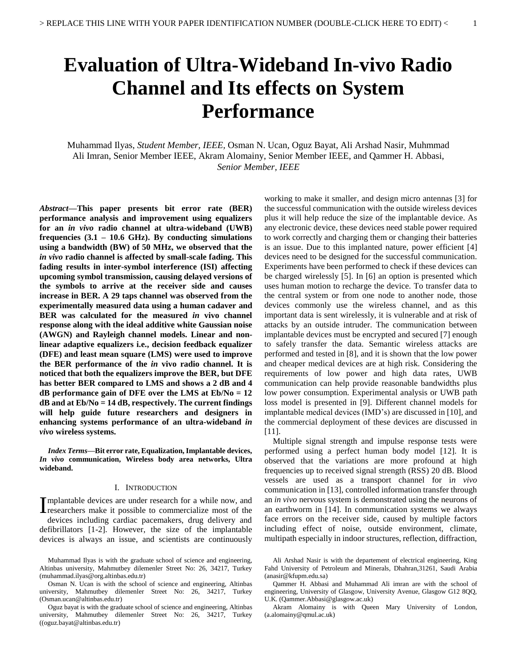# **Evaluation of Ultra-Wideband In-vivo Radio Channel and Its effects on System Performance**

Muhammad Ilyas, *Student Member, IEEE,* Osman N. Ucan, Oguz Bayat, Ali Arshad Nasir, Muhmmad Ali Imran, Senior Member IEEE, Akram Alomainy, Senior Member IEEE, and Qammer H. Abbasi, *Senior Member, IEEE*

*Abstract***—This paper presents bit error rate (BER) performance analysis and improvement using equalizers for an** *in vivo* **radio channel at ultra-wideband (UWB) frequencies (3.1 – 10.6 GHz). By conducting simulations using a bandwidth (BW) of 50 MHz, we observed that the**  *in vivo* **radio channel is affected by small-scale fading. This fading results in inter-symbol interference (ISI) affecting upcoming symbol transmission, causing delayed versions of the symbols to arrive at the receiver side and causes increase in BER. A 29 taps channel was observed from the experimentally measured data using a human cadaver and BER was calculated for the measured** *in* **vivo channel response along with the ideal additive white Gaussian noise (AWGN) and Rayleigh channel models. Linear and nonlinear adaptive equalizers i.e., decision feedback equalizer (DFE) and least mean square (LMS) were used to improve the BER performance of the** *in* **vivo radio channel. It is noticed that both the equalizers improve the BER, but DFE has better BER compared to LMS and shows a 2 dB and 4 dB performance gain of DFE over the LMS at Eb/No = 12 dB and at Eb/No = 14 dB, respectively. The current findings will help guide future researchers and designers in enhancing systems performance of an ultra-wideband** *in vivo* **wireless systems.**

*Index Terms***—Bit error rate, Equalization, Implantable devices,**  *In vivo* **communication, Wireless body area networks, Ultra wideband.**

#### I. INTRODUCTION

mplantable devices are under research for a while now, and Implantable devices are under research for a while now, and<br>Iresearchers make it possible to commercialize most of the devices including cardiac pacemakers, drug delivery and defibrillators [1-2]. However, the size of the implantable devices is always an issue, and scientists are continuously

Oguz bayat is with the graduate school of science and engineering, Altinbas university, Mahmutbey dilemenler Street No: 26, 34217, Turkey ([\(oguz.bayat@altinbas.edu.tr\)](mailto:oguz.bayat@altinbas.edu.tr)

working to make it smaller, and design micro antennas [3] for the successful communication with the outside wireless devices plus it will help reduce the size of the implantable device. As any electronic device, these devices need stable power required to work correctly and charging them or changing their batteries is an issue. Due to this implanted nature, power efficient [4] devices need to be designed for the successful communication. Experiments have been performed to check if these devices can be charged wirelessly [5]. In [6] an option is presented which uses human motion to recharge the device. To transfer data to the central system or from one node to another node, those devices commonly use the wireless channel, and as this important data is sent wirelessly, it is vulnerable and at risk of attacks by an outside intruder. The communication between implantable devices must be encrypted and secured [7] enough to safely transfer the data. Semantic wireless attacks are performed and tested in [8], and it is shown that the low power and cheaper medical devices are at high risk. Considering the requirements of low power and high data rates, UWB communication can help provide reasonable bandwidths plus low power consumption. Experimental analysis or UWB path loss model is presented in [9]. Different channel models for implantable medical devices (IMD's) are discussed in [10], and the commercial deployment of these devices are discussed in [11].

Multiple signal strength and impulse response tests were performed using a perfect human body model [12]. It is observed that the variations are more profound at high frequencies up to received signal strength (RSS) 20 dB. Blood vessels are used as a transport channel for i*n vivo* communication in [13], controlled information transfer through an *in vivo* nervous system is demonstrated using the neurons of an earthworm in [14]. In communication systems we always face errors on the receiver side, caused by multiple factors including effect of noise, outside environment, climate, multipath especially in indoor structures, reflection, diffraction,

Muhammad Ilyas is with the graduate school of science and engineering, Altinbas university, Mahmutbey dilemenler Street No: 26, 34217, Turkey (muhammad.ilyas@org.altinbas.edu.tr)

Osman N. Ucan is with the school of science and engineering, Altinbas university, Mahmutbey dilemenler Street No: 26, 34217, Turkey [\(Osman.ucan@altinbas.edu.tr\)](mailto:Osman.ucan@altinbas.edu.tr)

Ali Arshad Nasir is with the departement of electrical engineering, King Fahd University of Petroleum and Minerals, Dhahran,31261, Saudi Arabia (anasir@kfupm.edu.sa)

Qammer H. Abbasi and Muhammad Ali imran are with the school of engineering, University of Glasgow, University Avenue, Glasgow G12 8QQ, U.K. [\(Qammer.Abbasi@glasgow.ac.uk\)](mailto:Qammer.Abbasi@glasgow.ac.uk)

Akram Alomainy is with Queen Mary University of London, (a.alomainy@qmul.ac.uk)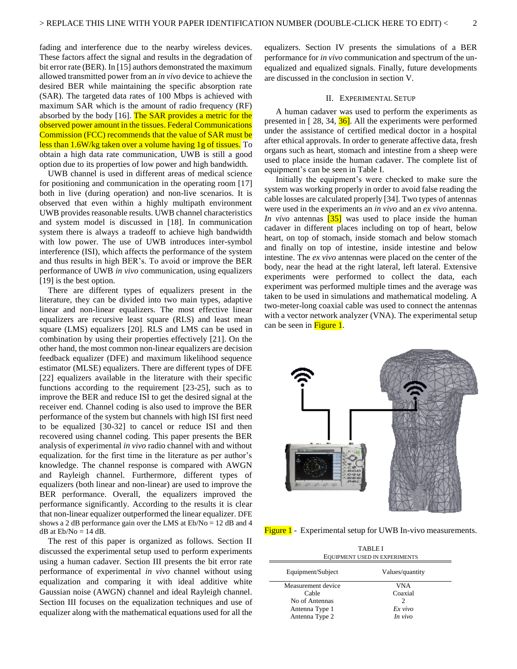fading and interference due to the nearby wireless devices. These factors affect the signal and results in the degradation of bit error rate (BER). In [15] authors demonstrated the maximum allowed transmitted power from an *in vivo* device to achieve the desired BER while maintaining the specific absorption rate (SAR). The targeted data rates of 100 Mbps is achieved with maximum SAR which is the amount of radio frequency (RF) absorbed by the body [16]. The SAR provides a metric for the observed power amount in the tissues. Federal Communications Commission (FCC) recommends that the value of SAR must be less than 1.6W/kg taken over a volume having 1g of tissues. To obtain a high data rate communication, UWB is still a good option due to its properties of low power and high bandwidth.

UWB channel is used in different areas of medical science for positioning and communication in the operating room [17] both in live (during operation) and non-live scenarios. It is observed that even within a highly multipath environment UWB provides reasonable results. UWB channel characteristics and system model is discussed in [18]. In communication system there is always a tradeoff to achieve high bandwidth with low power. The use of UWB introduces inter-symbol interference (ISI), which affects the performance of the system and thus results in high BER's. To avoid or improve the BER performance of UWB *in vivo* communication, using equalizers [19] is the best option.

There are different types of equalizers present in the literature, they can be divided into two main types, adaptive linear and non-linear equalizers. The most effective linear equalizers are recursive least square (RLS) and least mean square (LMS) equalizers [20]. RLS and LMS can be used in combination by using their properties effectively [21]. On the other hand, the most common non-linear equalizers are decision feedback equalizer (DFE) and maximum likelihood sequence estimator (MLSE) equalizers. There are different types of DFE [22] equalizers available in the literature with their specific functions according to the requirement [23-25], such as to improve the BER and reduce ISI to get the desired signal at the receiver end. Channel coding is also used to improve the BER performance of the system but channels with high ISI first need to be equalized [30-32] to cancel or reduce ISI and then recovered using channel coding. This paper presents the BER analysis of experimental *in vivo* radio channel with and without equalization. for the first time in the literature as per author's knowledge. The channel response is compared with AWGN and Rayleigh channel. Furthermore, different types of equalizers (both linear and non-linear) are used to improve the BER performance. Overall, the equalizers improved the performance significantly. According to the results it is clear that non-linear equalizer outperformed the linear equalizer. DFE shows a 2 dB performance gain over the LMS at Eb/No = 12 dB and 4  $dB$  at  $Eb/No = 14 dB$ .

The rest of this paper is organized as follows. Section II discussed the experimental setup used to perform experiments using a human cadaver. Section III presents the bit error rate performance of experimental *in vivo* channel without using equalization and comparing it with ideal additive white Gaussian noise (AWGN) channel and ideal Rayleigh channel. Section III focuses on the equalization techniques and use of equalizer along with the mathematical equations used for all the equalizers. Section IV presents the simulations of a BER performance for *in vivo* communication and spectrum of the unequalized and equalized signals. Finally, future developments are discussed in the conclusion in section V.

## II. EXPERIMENTAL SETUP

A human cadaver was used to perform the experiments as presented in  $[28, 34, 36]$ . All the experiments were performed under the assistance of certified medical doctor in a hospital after ethical approvals. In order to generate affective data, fresh organs such as heart, stomach and intestine from a sheep were used to place inside the human cadaver. The complete list of equipment's can be seen in Table I.

Initially the equipment's were checked to make sure the system was working properly in order to avoid false reading the cable losses are calculated properly [34]. Two types of antennas were used in the experiments an *in vivo* and an *ex vivo* antenna. *In vivo* antennas [35] was used to place inside the human cadaver in different places including on top of heart, below heart, on top of stomach, inside stomach and below stomach and finally on top of intestine, inside intestine and below intestine. The *ex vivo* antennas were placed on the center of the body, near the head at the right lateral, left lateral. Extensive experiments were performed to collect the data, each experiment was performed multiple times and the average was taken to be used in simulations and mathematical modeling. A two-meter-long coaxial cable was used to connect the antennas with a vector network analyzer (VNA). The experimental setup can be seen in Figure 1.



Figure 1 - Experimental setup for UWB In-vivo measurements.

| <b>TABLE I</b><br><b>EQUIPMENT USED IN EXPERIMENTS</b> |                 |  |
|--------------------------------------------------------|-----------------|--|
| Equipment/Subject                                      | Values/quantity |  |
| Measurement device                                     | VNA             |  |
| Cable                                                  | Coaxial         |  |
| No of Antennas                                         | 2               |  |
| Antenna Type 1                                         | Ex vivo         |  |
| Antenna Type 2                                         | In vivo         |  |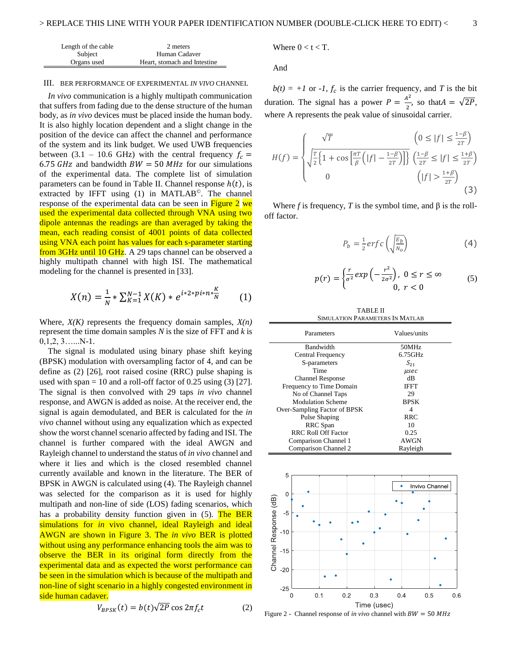| Length of the cable | 2 meters                     |  |
|---------------------|------------------------------|--|
| Subject             | Human Cadaver                |  |
| Organs used         | Heart, stomach and Intestine |  |

#### III. BER PERFORMANCE OF EXPERIMENTAL *IN VIVO* CHANNEL

*In vivo* communication is a highly multipath communication that suffers from fading due to the dense structure of the human body, as *in vivo* devices must be placed inside the human body. It is also highly location dependent and a slight change in the position of the device can affect the channel and performance of the system and its link budget. We used UWB frequencies between (3.1 – 10.6 GHz) with the central frequency  $f_c =$ 6.75  $GHz$  and bandwidth  $BW = 50 MHz$  for our simulations of the experimental data. The complete list of simulation parameters can be found in Table II. Channel response  $h(t)$ , is extracted by IFFT using  $(1)$  in MATLAB<sup>©</sup>. The channel response of the experimental data can be seen in Figure 2 we used the experimental data collected through VNA using two dipole antennas the readings are than averaged by taking the mean, each reading consist of 4001 points of data collected using VNA each point has values for each s-parameter starting from 3GHz until 10 GHz. A 29 taps channel can be observed a highly multipath channel with high ISI. The mathematical modeling for the channel is presented in [33].

$$
X(n) = \frac{1}{N} * \sum_{K=1}^{N-1} X(K) * e^{i * 2 * pi * n * \frac{K}{N}} \qquad (1)
$$

Where, *X(K)* represents the frequency domain samples, *X(n)* represent the time domain samples *N* is the size of FFT and *k* is  $0,1,2,3$ ......N-1.

The signal is modulated using binary phase shift keying (BPSK) modulation with oversampling factor of 4, and can be define as (2) [26], root raised cosine (RRC) pulse shaping is used with span = 10 and a roll-off factor of 0.25 using  $(3)$  [27]. The signal is then convolved with 29 taps *in vivo* channel response, and AWGN is added as noise. At the receiver end, the signal is again demodulated, and BER is calculated for the *in vivo* channel without using any equalization which as expected show the worst channel scenario affected by fading and ISI. The channel is further compared with the ideal AWGN and Rayleigh channel to understand the status of *in vivo* channel and where it lies and which is the closed resembled channel currently available and known in the literature. The BER of BPSK in AWGN is calculated using (4). The Rayleigh channel was selected for the comparison as it is used for highly multipath and non-line of side (LOS) fading scenarios, which has a probability density function given in (5). The BER simulations for *in* vivo channel, ideal Rayleigh and ideal AWGN are shown in Figure 3. The *in vivo* BER is plotted without using any performance enhancing tools the aim was to observe the BER in its original form directly from the experimental data and as expected the worst performance can be seen in the simulation which is because of the multipath and non-line of sight scenario in a highly congested environment in side human cadaver.

$$
V_{BPSK}(t) = b(t)\sqrt{2P} \cos 2\pi f_c t \tag{2}
$$

Where 
$$
0 < t < T
$$
.

And

 $b(t) = +1$  or *-1, f<sub>c</sub>* is the carrier frequency, and *T* is the bit duration. The signal has a power  $P = \frac{A^2}{2}$  $\frac{1}{2}$ , so that  $A = \sqrt{2P}$ , where A represents the peak value of sinusoidal carrier.

$$
H(f) = \begin{cases} \n\sqrt{T} & \left(0 \le |f| \le \frac{1-\beta}{2T}\right) \\ \n\sqrt{\frac{T}{2}\left\{1 + \cos\left[\frac{\pi T}{\beta}\left(|f| - \frac{1-\beta}{2T}\right)\right]\right\}} & \left(\frac{1-\beta}{2T} \le |f| \le \frac{1+\beta}{2T}\right) \\ \n0 & \left(|f| > \frac{1+\beta}{2T}\right) \n\end{cases} \tag{3}
$$

Where *f* is frequency, *T* is the symbol time, and  $\beta$  is the rolloff factor.

$$
P_b = \frac{1}{2} \, erf \, c \left( \sqrt{\frac{E_b}{N_o}} \right) \tag{4}
$$

$$
p(r) = \begin{cases} \frac{r}{\sigma^2} \exp\left(-\frac{r^2}{2\sigma^2}\right), & 0 \le r \le \infty \\ 0, & r < 0 \end{cases}
$$
 (5)

TABLE II SIMULATION PARAMETERS IN MATLAB

| Parameters                   | Values/units |
|------------------------------|--------------|
| Bandwidth                    | 50MHz        |
| Central Frequency            | $6.75$ GHz   |
| S-parameters                 | $S_{21}$     |
| Time                         | $\mu$ sec    |
| <b>Channel Response</b>      | dВ           |
| Frequency to Time Domain     | <b>IFFT</b>  |
| No of Channel Taps           | 29           |
| <b>Modulation Scheme</b>     | <b>BPSK</b>  |
| Over-Sampling Factor of BPSK | 4            |
| Pulse Shaping                | <b>RRC</b>   |
| RRC Span                     | 10           |
| <b>RRC Roll Off Factor</b>   | 0.25         |
| Comparison Channel 1         | <b>AWGN</b>  |
| Comparison Channel 2         | Rayleigh     |



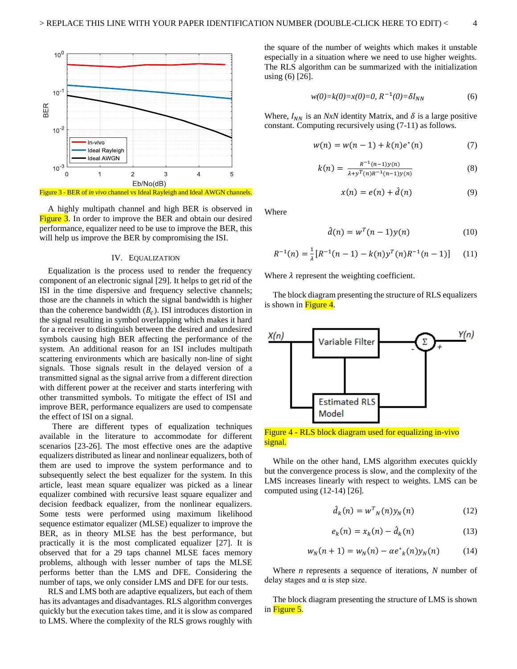

A highly multipath channel and high BER is observed in Figure 3. In order to improve the BER and obtain our desired performance, equalizer need to be use to improve the BER, this will help us improve the BER by compromising the ISI.

## IV. EQUALIZATION

Equalization is the process used to render the frequency component of an electronic signal [29]. It helps to get rid of the ISI in the time dispersive and frequency selective channels; those are the channels in which the signal bandwidth is higher than the coherence bandwidth  $(B_c)$ . ISI introduces distortion in the signal resulting in symbol overlapping which makes it hard for a receiver to distinguish between the desired and undesired symbols causing high BER affecting the performance of the system. An additional reason for an ISI includes multipath scattering environments which are basically non-line of sight signals. Those signals result in the delayed version of a transmitted signal as the signal arrive from a different direction with different power at the receiver and starts interfering with other transmitted symbols. To mitigate the effect of ISI and improve BER, performance equalizers are used to compensate the effect of ISI on a signal.

 There are different types of equalization techniques available in the literature to accommodate for different scenarios [23-26]. The most effective ones are the adaptive equalizers distributed as linear and nonlinear equalizers, both of them are used to improve the system performance and to subsequently select the best equalizer for the system. In this article, least mean square equalizer was picked as a linear equalizer combined with recursive least square equalizer and decision feedback equalizer, from the nonlinear equalizers. Some tests were performed using maximum likelihood sequence estimator equalizer (MLSE) equalizer to improve the BER, as in theory MLSE has the best performance, but practically it is the most complicated equalizer [27]. It is observed that for a 29 taps channel MLSE faces memory problems, although with lesser number of taps the MLSE performs better than the LMS and DFE. Considering the number of taps, we only consider LMS and DFE for our tests.

RLS and LMS both are adaptive equalizers, but each of them has its advantages and disadvantages. RLS algorithm converges quickly but the execution takes time, and it is slow as compared to LMS. Where the complexity of the RLS grows roughly with

the square of the number of weights which makes it unstable especially in a situation where we need to use higher weights. The RLS algorithm can be summarized with the initialization using (6) [26].

$$
w(0)=k(0)=x(0)=0, R^{-1}(0)=\delta I_{NN}
$$
 (6)

Where,  $I_{NN}$  is an *NxN* identity Matrix, and  $\delta$  is a large positive constant. Computing recursively using (7-11) as follows.

$$
w(n) = w(n-1) + k(n)e^{(n)}
$$
 (7)

$$
k(n) = \frac{R^{-1}(n-1)y(n)}{\lambda + y^T(n)R^{-1}(n-1)y(n)}
$$
(8)

$$
x(n) = e(n) + \hat{d}(n) \tag{9}
$$

Where

$$
\hat{d}(n) = w^T(n-1)y(n) \tag{10}
$$

$$
R^{-1}(n) = \frac{1}{\lambda} [R^{-1}(n-1) - k(n) y^T(n) R^{-1}(n-1)] \tag{11}
$$

Where  $\lambda$  represent the weighting coefficient.

The block diagram presenting the structure of RLS equalizers is shown in  $Figure 4$ .



Figure 4 - RLS block diagram used for equalizing in-vivo signal.

While on the other hand, LMS algorithm executes quickly but the convergence process is slow, and the complexity of the LMS increases linearly with respect to weights. LMS can be computed using (12-14) [26].

$$
\hat{d}_k(n) = w^T{}_N(n) y_N(n) \tag{12}
$$

$$
e_k(n) = x_k(n) - \hat{d}_k(n) \tag{13}
$$

$$
w_N(n + 1) = w_N(n) - \alpha e^*_{k}(n) y_N(n) \tag{14}
$$

Where *n* represents a sequence of iterations, *N* number of delay stages and  $\alpha$  is step size.

The block diagram presenting the structure of LMS is shown in Figure 5.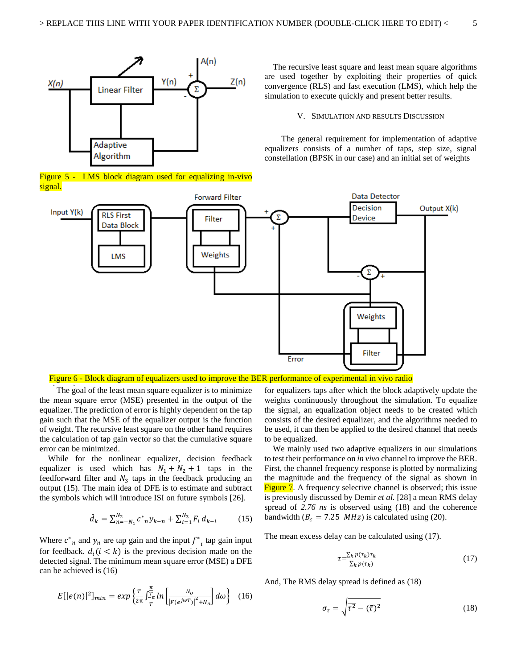

Figure 5 - LMS block diagram used for equalizing in-vivo signal.

The recursive least square and least mean square algorithms are used together by exploiting their properties of quick convergence (RLS) and fast execution (LMS), which help the simulation to execute quickly and present better results.

#### V. SIMULATION AND RESULTS DISCUSSION

The general requirement for implementation of adaptive equalizers consists of a number of taps, step size, signal constellation (BPSK in our case) and an initial set of weights



## Figure 6 - Block diagram of equalizers used to improve the BER performance of experimental in vivo radio

The goal of the least mean square equalizer is to minimize the mean square error (MSE) presented in the output of the equalizer. The prediction of error is highly dependent on the tap gain such that the MSE of the equalizer output is the function of weight. The recursive least square on the other hand requires the calculation of tap gain vector so that the cumulative square error can be minimized.

While for the nonlinear equalizer, decision feedback equalizer is used which has  $N_1 + N_2 + 1$  taps in the feedforward filter and  $N_3$  taps in the feedback producing an output (15). The main idea of DFE is to estimate and subtract the symbols which will introduce ISI on future symbols [26].

$$
\hat{d}_k = \sum_{n=-N_1}^{N_2} c^*_{n} y_{k-n} + \sum_{i=1}^{N_3} F_i d_{k-i} \tag{15}
$$

Where  $c^*$ <sub>n</sub> and  $y_n$  are tap gain and the input  $f^*$ <sub>i</sub> tap gain input for feedback.  $d_i$  ( $i < k$ ) is the previous decision made on the detected signal. The minimum mean square error (MSE) a DFE can be achieved is (16)

$$
E[|e(n)|^2]_{min} = exp\left\{\frac{\tau}{2\pi} \int_{-\pi}^{\pi} \ln \left[ \frac{N_o}{|F(e^{jwT})|^2 + N_o} \right] d\omega \right\} \quad (16)
$$

for equalizers taps after which the block adaptively update the weights continuously throughout the simulation. To equalize the signal, an equalization object needs to be created which consists of the desired equalizer, and the algorithms needed to be used, it can then be applied to the desired channel that needs to be equalized.

We mainly used two adaptive equalizers in our simulations to test their performance on *in vivo* channel to improve the BER. First, the channel frequency response is plotted by normalizing the magnitude and the frequency of the signal as shown in Figure 7. A frequency selective channel is observed; this issue is previously discussed by Demir *et al.* [28] a mean RMS delay spread of *2.76 ns* is observed using (18) and the coherence bandwidth ( $B_c = 7.25$  *MHz*) is calculated using (20).

The mean excess delay can be calculated using (17).

$$
\bar{\tau} = \frac{\sum_{k} p(\tau_k) \tau_k}{\sum_{k} p(\tau_k)} \tag{17}
$$

And, The RMS delay spread is defined as (18)

$$
\sigma_{\tau} = \sqrt{\overline{\tau^2} - (\overline{\tau})^2} \tag{18}
$$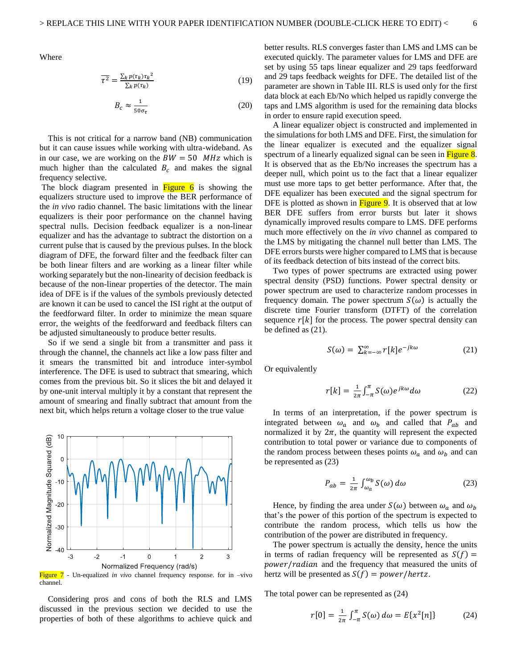Where

$$
\overline{\tau^2} = \frac{\sum_k p(\tau_k) \tau_k^2}{\sum_k p(\tau_k)}
$$
(19)

$$
B_c \approx \frac{1}{50\sigma_\tau} \tag{20}
$$

This is not critical for a narrow band (NB) communication but it can cause issues while working with ultra-wideband. As in our case, we are working on the  $BW = 50$  MHz which is much higher than the calculated  $B_c$  and makes the signal frequency selective.

The block diagram presented in  $Figure 6$  is showing the equalizers structure used to improve the BER performance of the *in vivo* radio channel. The basic limitations with the linear equalizers is their poor performance on the channel having spectral nulls. Decision feedback equalizer is a non-linear equalizer and has the advantage to subtract the distortion on a current pulse that is caused by the previous pulses. In the block diagram of DFE, the forward filter and the feedback filter can be both linear filters and are working as a linear filter while working separately but the non-linearity of decision feedback is because of the non-linear properties of the detector. The main idea of DFE is if the values of the symbols previously detected are known it can be used to cancel the ISI right at the output of the feedforward filter. In order to minimize the mean square error, the weights of the feedforward and feedback filters can be adjusted simultaneously to produce better results.

So if we send a single bit from a transmitter and pass it through the channel, the channels act like a low pass filter and it smears the transmitted bit and introduce inter-symbol interference. The DFE is used to subtract that smearing, which comes from the previous bit. So it slices the bit and delayed it by one-unit interval multiply it by a constant that represent the amount of smearing and finally subtract that amount from the next bit, which helps return a voltage closer to the true value



Figure 7 - Un-equalized *in vivo* channel frequency response. for in -vivo channel.

Considering pros and cons of both the RLS and LMS discussed in the previous section we decided to use the properties of both of these algorithms to achieve quick and better results. RLS converges faster than LMS and LMS can be executed quickly. The parameter values for LMS and DFE are set by using 55 taps linear equalizer and 29 taps feedforward and 29 taps feedback weights for DFE. The detailed list of the parameter are shown in Table III. RLS is used only for the first data block at each Eb/No which helped us rapidly converge the taps and LMS algorithm is used for the remaining data blocks in order to ensure rapid execution speed.

A linear equalizer object is constructed and implemented in the simulations for both LMS and DFE. First, the simulation for the linear equalizer is executed and the equalizer signal spectrum of a linearly equalized signal can be seen in **Figure 8**. It is observed that as the Eb/No increases the spectrum has a deeper null, which point us to the fact that a linear equalizer must use more taps to get better performance. After that, the DFE equalizer has been executed and the signal spectrum for DFE is plotted as shown in  $Figure 9$ . It is observed that at low BER DFE suffers from error bursts but later it shows dynamically improved results compare to LMS. DFE performs much more effectively on the *in vivo* channel as compared to the LMS by mitigating the channel null better than LMS. The DFE errors bursts were higher compared to LMS that is because of its feedback detection of bits instead of the correct bits.

Two types of power spectrums are extracted using power spectral density (PSD) functions. Power spectral density or power spectrum are used to characterize random processes in frequency domain. The power spectrum  $S(\omega)$  is actually the discrete time Fourier transform (DTFT) of the correlation sequence  $r[k]$  for the process. The power spectral density can be defined as (21).

$$
S(\omega) = \sum_{k=-\infty}^{\infty} r[k]e^{-jk\omega} \tag{21}
$$

Or equivalently

$$
r[k] = \frac{1}{2\pi} \int_{-\pi}^{\pi} S(\omega) e^{jk\omega} d\omega \qquad (22)
$$

In terms of an interpretation, if the power spectrum is integrated between  $\omega_a$  and  $\omega_b$  and called that  $P_{ab}$  and normalized it by  $2\pi$ , the quantity will represent the expected contribution to total power or variance due to components of the random process between theses points  $\omega_a$  and  $\omega_b$  and can be represented as (23)

$$
P_{ab} = \frac{1}{2\pi} \int_{\omega_a}^{\omega_b} S(\omega) \, d\omega \tag{23}
$$

Hence, by finding the area under  $S(\omega)$  between  $\omega_a$  and  $\omega_b$ that's the power of this portion of the spectrum is expected to contribute the random process, which tells us how the contribution of the power are distributed in frequency.

The power spectrum is actually the density, hence the units in terms of radian frequency will be represented as  $S(f)$  = power/radian and the frequency that measured the units of hertz will be presented as  $S(f) = power/hertz$ .

The total power can be represented as (24)

$$
r[0] = \frac{1}{2\pi} \int_{-\pi}^{\pi} S(\omega) \, d\omega = E\{x^2[n]\} \tag{24}
$$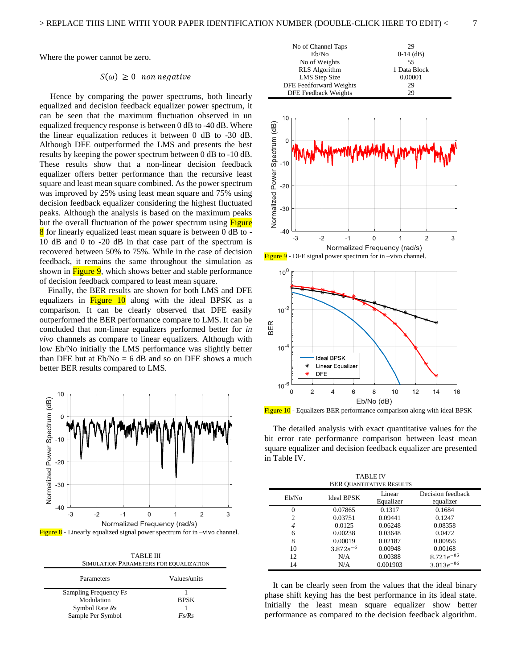$10^{-4}$ 

 $10^{-6}$  $\overline{0}$ 

Ideal BPSK **Linear Equalizer** 

 $\overline{4}$ 

 $\,$  6  $\,$ 

**DFE** 

 $\overline{c}$ 

Where the power cannot be zero.

## $S(\omega) \geq 0$  non negative

Hence by comparing the power spectrums, both linearly equalized and decision feedback equalizer power spectrum, it can be seen that the maximum fluctuation observed in un equalized frequency response is between 0 dB to -40 dB. Where the linear equalization reduces it between 0 dB to -30 dB. Although DFE outperformed the LMS and presents the best results by keeping the power spectrum between 0 dB to -10 dB. These results show that a non-linear decision feedback equalizer offers better performance than the recursive least square and least mean square combined. As the power spectrum was improved by 25% using least mean square and 75% using decision feedback equalizer considering the highest fluctuated peaks. Although the analysis is based on the maximum peaks but the overall fluctuation of the power spectrum using Figure 8 for linearly equalized least mean square is between 0 dB to -10 dB and 0 to -20 dB in that case part of the spectrum is recovered between 50% to 75%. While in the case of decision feedback, it remains the same throughout the simulation as shown in **Figure 9**, which shows better and stable performance of decision feedback compared to least mean square.

Finally, the BER results are shown for both LMS and DFE equalizers in Figure 10 along with the ideal BPSK as a comparison. It can be clearly observed that DFE easily outperformed the BER performance compare to LMS. It can be concluded that non-linear equalizers performed better for *in vivo* channels as compare to linear equalizers. Although with low Eb/No initially the LMS performance was slightly better than DFE but at  $Eb/No = 6$  dB and so on DFE shows a much better BER results compared to LMS.



Figure  $8$  - Linearly equalized signal power spectrum for in –vivo channel.

TABLE III SIMULATION PARAMETERS FOR EQUALIZATION

| Parameters            | Values/units |
|-----------------------|--------------|
| Sampling Frequency Fs |              |
| Modulation            | <b>BPSK</b>  |
| Symbol Rate Rs        |              |
| Sample Per Symbol     | Fs/Rs        |



Figure 10 - Equalizers BER performance comparison along with ideal BPSK The detailed analysis with exact quantitative values for the bit error rate performance comparison between least mean square equalizer and decision feedback equalizer are presented in Table IV.

8

Eb/No (dB)

 $10$ 

 $12$ 

 $14$ 

16

| <b>TABLE IV</b>                 |                   |                     |                                |  |  |
|---------------------------------|-------------------|---------------------|--------------------------------|--|--|
| <b>BER QUANTITATIVE RESULTS</b> |                   |                     |                                |  |  |
| Eb/No                           | <b>Ideal BPSK</b> | Linear<br>Equalizer | Decision feedback<br>equalizer |  |  |
| 0                               | 0.07865           | 0.1317              | 0.1684                         |  |  |
| $\overline{c}$                  | 0.03751           | 0.09441             | 0.1247                         |  |  |
| 4                               | 0.0125            | 0.06248             | 0.08358                        |  |  |
| 6                               | 0.00238           | 0.03648             | 0.0472                         |  |  |
| 8                               | 0.00019           | 0.02187             | 0.00956                        |  |  |
| 10                              | $3.872e^{-6}$     | 0.00948             | 0.00168                        |  |  |
| 12                              | N/A               | 0.00388             | $8.721e^{-05}$                 |  |  |
| 14                              | N/A               | 0.001903            | $3.013e^{-06}$                 |  |  |

It can be clearly seen from the values that the ideal binary phase shift keying has the best performance in its ideal state. Initially the least mean square equalizer show better performance as compared to the decision feedback algorithm.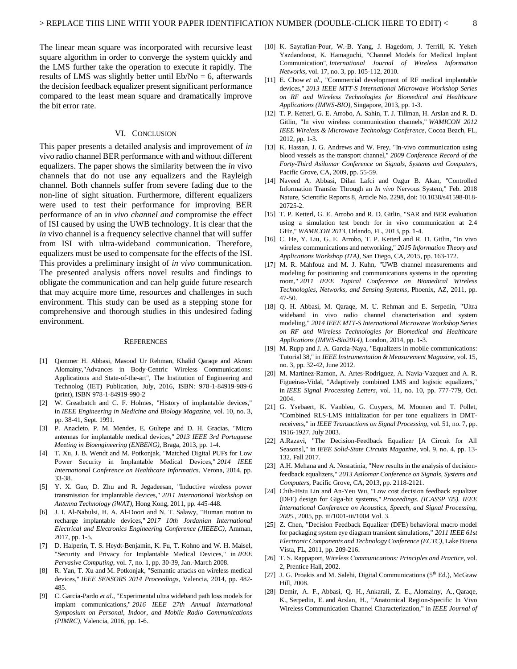The linear mean square was incorporated with recursive least square algorithm in order to converge the system quickly and the LMS further take the operation to execute it rapidly. The results of LMS was slightly better until  $Eb/No = 6$ , afterwards the decision feedback equalizer present significant performance compared to the least mean square and dramatically improve the bit error rate.

## VI. CONCLUSION

This paper presents a detailed analysis and improvement of *in*  vivo radio channel BER performance with and without different equalizers. The paper shows the similarity between the *in* vivo channels that do not use any equalizers and the Rayleigh channel. Both channels suffer from severe fading due to the non-line of sight situation. Furthermore, different equalizers were used to test their performance for improving BER performance of an in *vivo channel and* compromise the effect of ISI caused by using the UWB technology. It is clear that the *in* vivo channel is a frequency selective channel that will suffer from ISI with ultra-wideband communication. Therefore, equalizers must be used to compensate for the effects of the ISI. This provides a preliminary insight of *in vivo* communication. The presented analysis offers novel results and findings to obligate the communication and can help guide future research that may acquire more time, resources and challenges in such environment. This study can be used as a stepping stone for comprehensive and thorough studies in this undesired fading environment.

#### **REFERENCES**

- [1] Qammer H. Abbasi, Masood Ur Rehman, Khalid Qaraqe and Akram Alomainy,"Advances in Body-Centric Wireless Communications: Applications and State-of-the-art", The Institution of Engineering and Technolog (IET) Publication, July, 2016, ISBN: 978-1-84919-989-6 (print), ISBN 978-1-84919-990-2
- [2] W. Greatbatch and C. F. Holmes, "History of implantable devices," in *IEEE Engineering in Medicine and Biology Magazine*, vol. 10, no. 3, pp. 38-41, Sept. 1991.
- [3] P. Anacleto, P. M. Mendes, E. Gultepe and D. H. Gracias, "Micro antennas for implantable medical devices," *2013 IEEE 3rd Portuguese Meeting in Bioengineering (ENBENG)*, Braga, 2013, pp. 1-4.
- [4] T. Xu, J. B. Wendt and M. Potkonjak, "Matched Digital PUFs for Low Power Security in Implantable Medical Devices," *2014 IEEE International Conference on Healthcare Informatics*, Verona, 2014, pp. 33-38.
- [5] Y. X. Guo, D. Zhu and R. Jegadeesan, "Inductive wireless power transmission for implantable devices," *2011 International Workshop on Antenna Technology (iWAT)*, Hong Kong, 2011, pp. 445-448.
- [6] J. I. Al-Nabulsi, H. A. Al-Doori and N. T. Salawy, "Human motion to recharge implantable devices," *2017 10th Jordanian International Electrical and Electronics Engineering Conference (JIEEEC)*, Amman, 2017, pp. 1-5.
- [7] D. Halperin, T. S. Heydt-Benjamin, K. Fu, T. Kohno and W. H. Maisel, "Security and Privacy for Implantable Medical Devices," in *IEEE Pervasive Computing*, vol. 7, no. 1, pp. 30-39, Jan.-March 2008.
- R. Yan, T. Xu and M. Potkonjak, "Semantic attacks on wireless medical devices," *IEEE SENSORS 2014 Proceedings*, Valencia, 2014, pp. 482- 485.
- [9] C. Garcia-Pardo *et al*., "Experimental ultra wideband path loss models for implant communications," *2016 IEEE 27th Annual International Symposium on Personal, Indoor, and Mobile Radio Communications (PIMRC)*, Valencia, 2016, pp. 1-6.
- [10] K. Sayrafian-Pour, W.-B. Yang, J. Hagedorn, J. Terrill, K. Yekeh Yazdandoost, K. Hamaguchi, "Channel Models for Medical Implant Communication", *International Journal of Wireless Information Networks*, vol. 17, no. 3, pp. 105-112, 2010.
- [11] E. Chow *et al*., "Commercial development of RF medical implantable devices," *2013 IEEE MTT-S International Microwave Workshop Series on RF and Wireless Technologies for Biomedical and Healthcare Applications (IMWS-BIO)*, Singapore, 2013, pp. 1-3.
- [12] T. P. Ketterl, G. E. Arrobo, A. Sahin, T. J. Tillman, H. Arslan and R. D. Gitlin, "In vivo wireless communication channels," *WAMICON 2012 IEEE Wireless & Microwave Technology Conference*, Cocoa Beach, FL, 2012, pp. 1-3.
- [13] K. Hassan, J. G. Andrews and W. Frey, "In-vivo communication using blood vessels as the transport channel," *2009 Conference Record of the Forty-Third Asilomar Conference on Signals, Systems and Computers*, Pacific Grove, CA, 2009, pp. 55-59.
- [14] Naveed A. Abbasi, Dilan Lafci and Ozgur B. Akan, "Controlled Information Transfer Through an *In vivo* Nervous System," Feb. 2018 Nature, Scientific Reports 8, Article No. 2298, doi: 10.1038/s41598-018- 20725-2.
- [15] T. P. Ketterl, G. E. Arrobo and R. D. Gitlin, "SAR and BER evaluation using a simulation test bench for in vivo communication at 2.4 GHz," *WAMICON 2013*, Orlando, FL, 2013, pp. 1-4.
- [16] C. He, Y. Liu, G. E. Arrobo, T. P. Ketterl and R. D. Gitlin, "In vivo wireless communications and networking," *2015 Information Theory and Applications Workshop (ITA)*, San Diego, CA, 2015, pp. 163-172.
- [17] M. R. Mahfouz and M. J. Kuhn, "UWB channel measurements and modeling for positioning and communications systems in the operating room," *2011 IEEE Topical Conference on Biomedical Wireless Technologies, Networks, and Sensing Systems*, Phoenix, AZ, 2011, pp. 47-50.
- [18] Q. H. Abbasi, M. Qaraqe, M. U. Rehman and E. Serpedin, "Ultra wideband in vivo radio channel characterisation and system modeling," *2014 IEEE MTT-S International Microwave Workshop Series on RF and Wireless Technologies for Biomedical and Healthcare Applications (IMWS-Bio2014)*, London, 2014, pp. 1-3.
- [19] M. Rupp and J. A. Garcia-Naya, "Equalizers in mobile communications: Tutorial 38," in *IEEE Instrumentation & Measurement Magazine*, vol. 15, no. 3, pp. 32-42, June 2012.
- [20] M. Martinez-Ramon, A. Artes-Rodriguez, A. Navia-Vazquez and A. R. Figueiras-Vidal, "Adaptively combined LMS and logistic equalizers," in *IEEE Signal Processing Letters*, vol. 11, no. 10, pp. 777-779, Oct. 2004.
- [21] G. Ysebaert, K. Vanbleu, G. Cuypers, M. Moonen and T. Pollet, "Combined RLS-LMS initialization for per tone equalizers in DMTreceivers," in *IEEE Transactions on Signal Processing*, vol. 51, no. 7, pp. 1916-1927, July 2003.
- [22] A.Razavi, "The Decision-Feedback Equalizer [A Circuit for All Seasons]," in *IEEE Solid-State Circuits Magazine*, vol. 9, no. 4, pp. 13- 132, Fall 2017.
- [23] A.H. Mehana and A. Nosratinia, "New results in the analysis of decisionfeedback equalizers," *2013 Asilomar Conference on Signals, Systems and Computers*, Pacific Grove, CA, 2013, pp. 2118-2121.
- [24] Chih-Hsiu Lin and An-Yeu Wu, "Low cost decision feedback equalizer (DFE) design for Giga-bit systems," *Proceedings. (ICASSP '05). IEEE International Conference on Acoustics, Speech, and Signal Processing, 2005.*, 2005, pp. iii/1001-iii/1004 Vol. 3.
- [25] Z. Chen, "Decision Feedback Equalizer (DFE) behavioral macro model for packaging system eye diagram transient simulations," *2011 IEEE 61st Electronic Components and Technology Conference (ECTC)*, Lake Buena Vista, FL, 2011, pp. 209-216.
- [26] T. S. Rappaport, *Wireless Communications: Principles and Practice*, vol. 2, Prentice Hall, 2002.
- [27] J. G. Proakis and M. Salehi, Digital Communications (5<sup>th</sup> Ed.), McGraw Hill, 2008.
- [28] Demir, A. F., [Abbasi, Q. H.,](http://eprints.gla.ac.uk/view/author/39488.html) Ankarali, Z. E., Alomainy, A., Qaraqe, K., Serpedin, E. and Arslan, H., "Anatomical Region-Specific In Vivo Wireless Communication Channel Characterization," in *IEEE Journal of*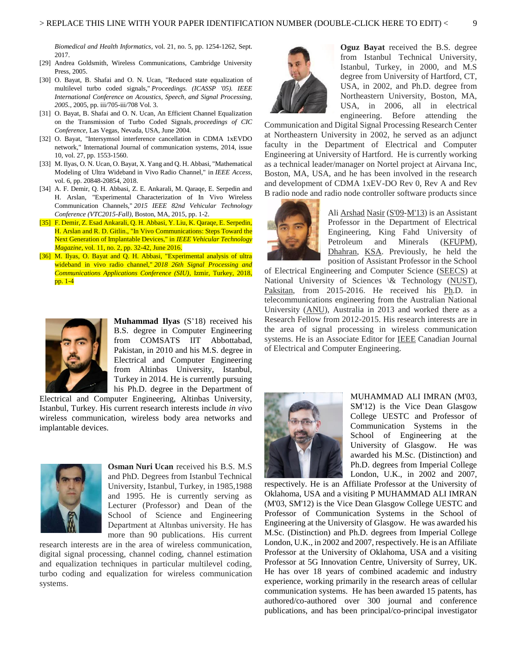*Biomedical and Health Informatics*, vol. 21, no. 5, pp. 1254-1262, Sept. 2017.

- [29] Andrea Goldsmith, Wireless Communications, Cambridge University Press, 2005.
- [30] O. Bayat, B. Shafai and O. N. Ucan, "Reduced state equalization of multilevel turbo coded signals," *Proceedings. (ICASSP '05). IEEE International Conference on Acoustics, Speech, and Signal Processing, 2005.*, 2005, pp. iii/705-iii/708 Vol. 3.
- [31] O. Bayat, B. Shafai and O. N. Ucan, An Efficient Channel Equalization on the Transmission of Turbo Coded Signals, *proceedings of CIC Conference,* Las Vegas, Nevada, USA, June 2004.
- [32] O. Bayat, "Intersymsol interference cancellation in CDMA 1xEVDO network," International Journal of communication systems, 2014, issue 10, vol. 27, pp. 1553-1560.
- [33] M. Ilyas, O. N. Ucan, O. Bayat, X. Yang and Q. H. Abbasi, "Mathematical Modeling of Ultra Wideband in Vivo Radio Channel," in *IEEE Access*, vol. 6, pp. 20848-20854, 2018.
- [34] A. F. Demir, Q. H. Abbasi, Z. E. Ankarali, M. Qaraqe, E. Serpedin and H. Arslan, "Experimental Characterization of In Vivo Wireless Communication Channels," *2015 IEEE 82nd Vehicular Technology Conference (VTC2015-Fall)*, Boston, MA, 2015, pp. 1-2.
- [35] F. Demir, Z. Esad Ankarali, Q. H. Abbasi, Y. Liu, K. Qaraqe, E. Serpedin, H. Arslan and R. D. Gitlin., "In Vivo Communications: Steps Toward the Next Generation of Implantable Devices," in *IEEE Vehicular Technology Magazine*, vol. 11, no. 2, pp. 32-42, June 2016.
- [36] M. Ilyas, O. Bayat and Q. H. Abbasi, "Experimental analysis of ultra wideband in vivo radio channel," *2018 26th Signal Processing and Communications Applications Conference (SIU)*, Izmir, Turkey, 2018, pp. 1-4



**Muhammad Ilyas** (S'18) received his B.S. degree in Computer Engineering from COMSATS IIT Abbottabad, Pakistan, in 2010 and his M.S. degree in Electrical and Computer Engineering from Altinbas University, Istanbul, Turkey in 2014. He is currently pursuing his Ph.D. degree in the Department of

Electrical and Computer Engineering, Altinbas University, Istanbul, Turkey. His current research interests include *in vivo*  wireless communication, wireless body area networks and implantable devices.



**Osman Nuri Ucan** received his B.S. M.S and PhD. Degrees from Istanbul Technical University, Istanbul, Turkey, in 1985,1988 and 1995. He is currently serving as Lecturer (Professor) and Dean of the School of Science and Engineering Department at Altınbas university. He has more than 90 publications. His current

research interests are in the area of wireless communication, digital signal processing, channel coding, channel estimation and equalization techniques in particular multilevel coding, turbo coding and equalization for wireless communication systems.



**Oguz Bayat** received the B.S. degree from Istanbul Technical University, Istanbul, Turkey, in 2000, and M.S degree from University of Hartford, CT, USA, in 2002, and Ph.D. degree from Northeastern University, Boston, MA, USA, in 2006, all in electrical engineering. Before attending the

Communication and Digital Signal Processing Research Center at Northeastern University in 2002, he served as an adjunct faculty in the Department of Electrical and Computer Engineering at University of Hartford. He is currently working as a technical leader/manager on Nortel project at Airvana Inc, Boston, MA, USA, and he has been involved in the research and development of CDMA 1xEV-DO Rev 0, Rev A and Rev B radio node and radio node controller software products since



Ali Arshad Nasir (S'09-M'13) is an Assistant Professor in the Department of Electrical Engineering, King Fahd University of Petroleum and Minerals (KFUPM), Dhahran, KSA. Previously, he held the position of Assistant Professor in the School

of Electrical Engineering and Computer Science (SEECS) at National University of Sciences \& Technology (NUST), Paksitan, from 2015-2016. He received his Ph.D. in telecommunications engineering from the Australian National University (ANU), Australia in 2013 and worked there as a Research Fellow from 2012-2015. His research interests are in the area of signal processing in wireless communication systems. He is an Associate Editor for IEEE Canadian Journal of Electrical and Computer Engineering.



MUHAMMAD ALI IMRAN (M'03, SM'12) is the Vice Dean Glasgow College UESTC and Professor of Communication Systems in the School of Engineering at the University of Glasgow. He was awarded his M.Sc. (Distinction) and Ph.D. degrees from Imperial College London, U.K., in 2002 and 2007,

respectively. He is an Affiliate Professor at the University of Oklahoma, USA and a visiting P MUHAMMAD ALI IMRAN (M'03, SM'12) is the Vice Dean Glasgow College UESTC and Professor of Communication Systems in the School of Engineering at the University of Glasgow. He was awarded his M.Sc. (Distinction) and Ph.D. degrees from Imperial College London, U.K., in 2002 and 2007, respectively. He is an Affiliate Professor at the University of Oklahoma, USA and a visiting Professor at 5G Innovation Centre, University of Surrey, UK. He has over 18 years of combined academic and industry experience, working primarily in the research areas of cellular communication systems. He has been awarded 15 patents, has authored/co-authored over 300 journal and conference publications, and has been principal/co-principal investigator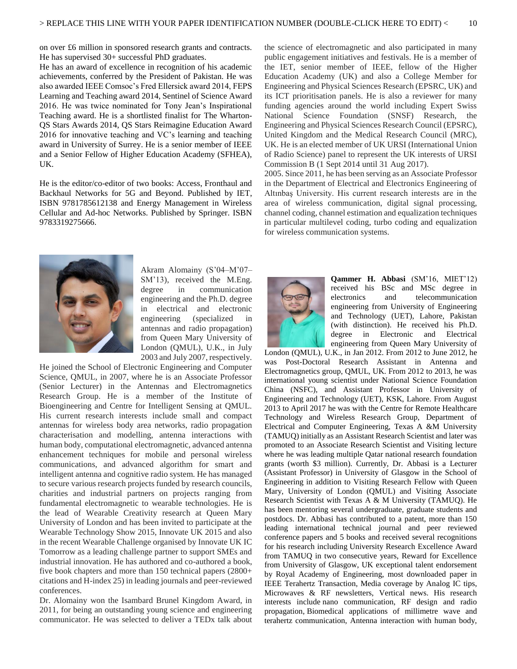on over £6 million in sponsored research grants and contracts. He has supervised 30+ successful PhD graduates.

He has an award of excellence in recognition of his academic achievements, conferred by the President of Pakistan. He was also awarded IEEE Comsoc's Fred Ellersick award 2014, FEPS Learning and Teaching award 2014, Sentinel of Science Award 2016. He was twice nominated for Tony Jean's Inspirational Teaching award. He is a shortlisted finalist for The Wharton-QS Stars Awards 2014, QS Stars Reimagine Education Award 2016 for innovative teaching and VC's learning and teaching award in University of Surrey. He is a senior member of IEEE and a Senior Fellow of Higher Education Academy (SFHEA), UK.

He is the editor/co-editor of two books: Access, Fronthaul and Backhaul Networks for 5G and Beyond. Published by IET, ISBN 9781785612138 and Energy Management in Wireless Cellular and Ad-hoc Networks. Published by Springer. ISBN 9783319275666.



Akram Alomainy (S'04–M'07– SM'13), received the M.Eng. degree in communication engineering and the Ph.D. degree in electrical and electronic engineering (specialized in antennas and radio propagation) from Queen Mary University of London (QMUL), U.K., in July 2003 and July 2007, respectively.

He joined the School of Electronic Engineering and Computer Science, QMUL, in 2007, where he is an Associate Professor (Senior Lecturer) in the Antennas and Electromagnetics Research Group. He is a member of the Institute of Bioengineering and Centre for Intelligent Sensing at QMUL. His current research interests include small and compact antennas for wireless body area networks, radio propagation characterisation and modelling, antenna interactions with human body, computational electromagnetic, advanced antenna enhancement techniques for mobile and personal wireless communications, and advanced algorithm for smart and intelligent antenna and cognitive radio system. He has managed to secure various research projects funded by research councils, charities and industrial partners on projects ranging from fundamental electromagnetic to wearable technologies. He is the lead of Wearable Creativity research at Queen Mary University of London and has been invited to participate at the Wearable Technology Show 2015, Innovate UK 2015 and also in the recent Wearable Challenge organised by Innovate UK IC Tomorrow as a leading challenge partner to support SMEs and industrial innovation. He has authored and co-authored a book, five book chapters and more than 150 technical papers (2800+ citations and H-index 25) in leading journals and peer-reviewed conferences.

Dr. Alomainy won the Isambard Brunel Kingdom Award, in 2011, for being an outstanding young science and engineering communicator. He was selected to deliver a TEDx talk about the science of electromagnetic and also participated in many public engagement initiatives and festivals. He is a member of the IET, senior member of IEEE, fellow of the Higher Education Academy (UK) and also a College Member for Engineering and Physical Sciences Research (EPSRC, UK) and its ICT prioritisation panels. He is also a reviewer for many funding agencies around the world including Expert Swiss National Science Foundation (SNSF) Research, the Engineering and Physical Sciences Research Council (EPSRC), United Kingdom and the Medical Research Council (MRC), UK. He is an elected member of UK URSI (International Union of Radio Science) panel to represent the UK interests of URSI Commission B (1 Sept 2014 until 31 Aug 2017).

2005. Since 2011, he has been serving as an Associate Professor in the Department of Electrical and Electronics Engineering of Altınbaş University. His current research interests are in the area of wireless communication, digital signal processing, channel coding, channel estimation and equalization techniques in particular multilevel coding, turbo coding and equalization for wireless communication systems.



**Qammer H. Abbasi** (SM'16, MIET'12) received his BSc and MSc degree in electronics and telecommunication engineering from University of Engineering and Technology (UET), Lahore, Pakistan (with distinction). He received his Ph.D. degree in Electronic and Electrical engineering from Queen Mary University of

London (QMUL), U.K., in Jan 2012. From 2012 to June 2012, he was Post-Doctoral Research Assistant in Antenna and Electromagnetics group, QMUL, UK. From 2012 to 2013, he was international young scientist under National Science Foundation China (NSFC), and Assistant Professor in University of Engineering and Technology (UET), KSK, Lahore. From August 2013 to April 2017 he was with the Centre for Remote Healthcare Technology and Wireless Research Group, Department of Electrical and Computer Engineering, Texas A &M University (TAMUQ) initially as an Assistant Research Scientist and later was promoted to an Associate Research Scientist and Visiting lecture where he was leading multiple Qatar national research foundation grants (worth \$3 million). Currently, Dr. Abbasi is a Lecturer (Assistant Professor) in University of Glasgow in the School of Engineering in addition to Visiting Research Fellow with Queen Mary, University of London (QMUL) and Visiting Associate Research Scientist with Texas A & M University (TAMUQ). He has been mentoring several undergraduate, graduate students and postdocs. Dr. Abbasi has contributed to a patent, more than 150 leading international technical journal and peer reviewed conference papers and 5 books and received several recognitions for his research including University Research Excellence Award from TAMUQ in two consecutive years, Reward for Excellence from University of Glasgow, UK exceptional talent endorsement by Royal Academy of Engineering, most downloaded paper in IEEE Terahertz Transaction, Media coverage by Analog IC tips, Microwaves & RF newsletters, Vertical news. His research interests include nano communication, RF design and radio propagation, Biomedical applications of millimetre wave and terahertz communication, Antenna interaction with human body,